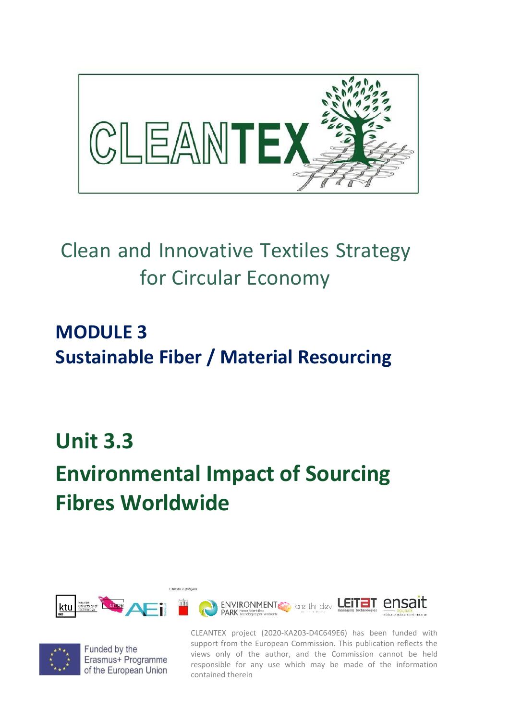

## Clean and Innovative Textiles Strategy for Circular Economy

## **MODULE 3 Sustainable Fiber / Material Resourcing**

## **Unit 3.3**

# **Environmental Impact of Sourcing Fibres Worldwide**





Funded by the Erasmus+ Programme of the European Union

CLEANTEX project (2020-KA203-D4C649E6) has been funded with support from the European Commission. This publication reflects the views only of the author, and the Commission cannot be held responsible for any use which may be made of the information contained therein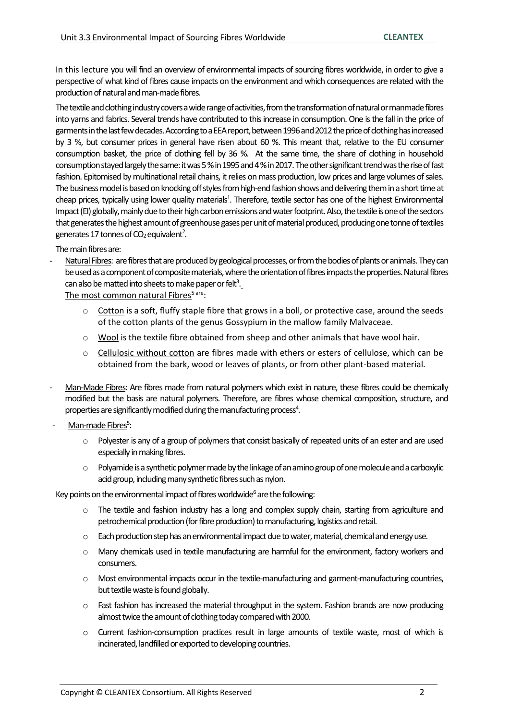In this lecture you will find an overview of environmental impacts of sourcing fibres worldwide, in order to give a perspective of what kind of fibres cause impacts on the environment and which consequences are related with the production of natural and man-made fibres.

The textile and clothing industry covers a wide range of activities, from the transformation of natural or manmade fibres into yarns and fabrics. Several trends have contributed to this increase in consumption. One is the fall in the price of garments in the last few decades. According to a EEA report, between 1996 and 2012 the price of clothing has increased by 3 %, but consumer prices in general have risen about 60 %. This meant that, relative to the EU consumer consumption basket, the price of clothing fell by 36 %. At the same time, the share of clothing in household consumption stayed largely the same: it was 5 % in 1995 and 4 % in 2017. The other significant trend was the rise of fast fashion. Epitomised by multinational retail chains, it relies on mass production, low prices and large volumes of sales. The business model is based on knocking off styles from high-end fashion shows and delivering them in a short time at cheap prices, typically using lower quality materials<sup>1</sup>. Therefore, textile sector has one of the highest Environmental Impact (EI) globally, mainly due to their high carbon emissions and water footprint. Also, the textile is one of the sectors that generates the highest amount of greenhouse gases per unit of material produced, producing one tonne of textiles generates 17 tonnes of CO<sub>2</sub> equivalent<sup>2</sup>.

#### The main fibres are:

Natural Fibres: are fibres that are produced by geological processes, or from the bodies of plants or animals. They can be used as a component of composite materials, where the orientation of fibres impacts the properties. Natural fibres can also be matted into sheets to make paper or felt<sup>3</sup>.

The most common natural Fibres<sup>5 are</sup>:

- o Cotton is a soft, fluffy staple fibre that grows in a boll, or protective case, around the seeds of the cotton plants of the genus Gossypium in the mallow family Malvaceae.
- $\circ$  Wool is the textile fibre obtained from sheep and other animals that have wool hair.
- $\circ$  Cellulosic without cotton are fibres made with ethers or esters of cellulose, which can be obtained from the bark, wood or leaves of plants, or from other plant-based material.
- Man-Made Fibres: Are fibres made from natural polymers which exist in nature, these fibres could be chemically modified but the basis are natural polymers. Therefore, are fibres whose chemical composition, structure, and properties are significantly modified during the manufacturing process<sup>4</sup>.
- Man-made Fibres<sup>5</sup>:
	- $\circ$  Polyester is any of a group of polymers that consist basically of repeated units of an ester and are used especially in making fibres.
	- $\circ$  Polyamide is a synthetic polymer made by the linkage of an amino group of one molecule and a carboxylic acid group, including many synthetic fibres such as nylon.

Key points on the environmental impact of fibres worldwide<sup>6</sup> are the following:

- o The textile and fashion industry has a long and complex supply chain, starting from agriculture and petrochemical production (for fibre production) to manufacturing, logistics and retail.
- $\circ$  Each production step has an environmental impact due to water, material, chemical and energy use.
- o Many chemicals used in textile manufacturing are harmful for the environment, factory workers and consumers.
- o Most environmental impacts occur in the textile-manufacturing and garment-manufacturing countries, but textile waste is found globally.
- $\circ$  Fast fashion has increased the material throughput in the system. Fashion brands are now producing almost twice the amount of clothing today compared with 2000.
- o Current fashion-consumption practices result in large amounts of textile waste, most of which is incinerated, landfilled or exported to developing countries.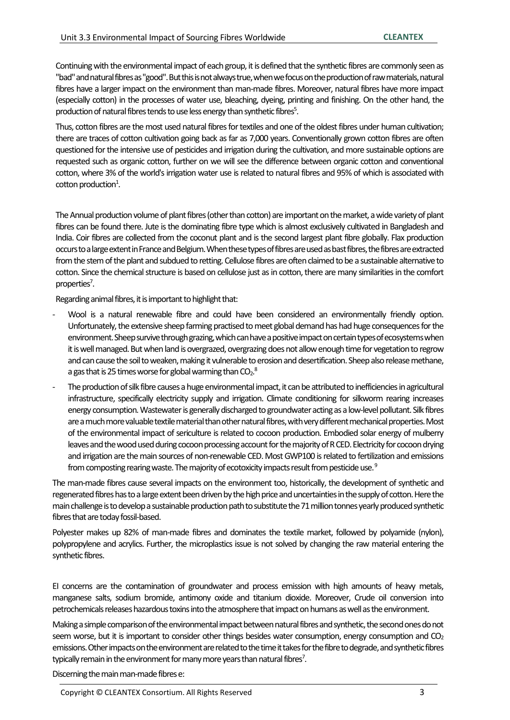Continuing with the environmental impact of each group, it is defined that the synthetic fibres are commonly seen as "bad" and natural fibres as "good". But this is not always true, when we focus on the production of raw materials, natural fibres have a larger impact on the environment than man-made fibres. Moreover, natural fibres have more impact (especially cotton) in the processes of water use, bleaching, dyeing, printing and finishing. On the other hand, the production of natural fibres tends to use less energy than synthetic fibres<sup>5</sup>.

Thus, cotton fibres are the most used natural fibres for textiles and one of the oldest fibres under human cultivation; there are traces of cotton cultivation going back as far as 7,000 years. Conventionally grown cotton fibres are often questioned for the intensive use of pesticides and irrigation during the cultivation, and more sustainable options are requested such as organic cotton, further on we will see the difference between organic cotton and conventional cotton, where 3% of the world's irrigation water use is related to natural fibres and 95% of which is associated with  $\cot$ ton production<sup>1</sup>.

The Annual production volume of plant fibres (other than cotton) are importanton the market, a wide variety of plant fibres can be found there. Jute is the dominating fibre type which is almost exclusively cultivated in Bangladesh and India. Coir fibres are collected from the coconut plant and is the second largest plant fibre globally. Flax production occurs to a large extent in France and Belgium. When these types of fibres are used as bast fibres, the fibres are extracted from the stem of the plant and subdued to retting. Cellulose fibres are often claimed to be a sustainable alternative to cotton. Since the chemical structure is based on cellulose just as in cotton, there are many similarities in the comfort properties<sup>7</sup>.

Regarding animal fibres, it is important to highlight that:

- Wool is a natural renewable fibre and could have been considered an environmentally friendly option. Unfortunately, the extensive sheep farming practised to meet global demand has had huge consequences for the environment. Sheep survive through grazing, which can have a positive impact on certain types of ecosystems when it is well managed. But when land is overgrazed, overgrazing does not allow enough time for vegetation to regrow and can cause the soil to weaken, making it vulnerable to erosion and desertification. Sheep also release methane, a gas that is 25 times worse for global warming than CO $\rm{_{2}}$ . $\rm{^{8}}$
- The production of silk fibre causes a huge environmental impact, it can be attributed to inefficiencies in agricultural infrastructure, specifically electricity supply and irrigation. Climate conditioning for silkworm rearing increases energy consumption. Wastewater is generally discharged to groundwater acting as a low-level pollutant. Silk fibres are a much more valuable textile material than other natural fibres, with very different mechanical properties.Most of the environmental impact of sericulture is related to cocoon production. Embodied solar energy of mulberry leaves and the wood used during cocoon processing account for the majority of R CED. Electricity for cocoon drying and irrigation are the main sources of non-renewable CED. Most GWP100 is related to fertilization and emissions from composting rearing waste. The majority of ecotoxicity impacts result from pesticide use.<sup>9</sup>

The man-made fibres cause several impacts on the environment too, historically, the development of synthetic and regenerated fibres has to a large extent been driven by the high price and uncertainties in the supply of cotton. Here the main challenge is to develop a sustainable production path to substitute the 71 million tonnes yearly produced synthetic fibres that are today fossil-based.

Polyester makes up 82% of man-made fibres and dominates the textile market, followed by polyamide (nylon), polypropylene and acrylics. Further, the microplastics issue is not solved by changing the raw material entering the synthetic fibres.

EI concerns are the contamination of groundwater and process emission with high amounts of heavy metals, manganese salts, sodium bromide, antimony oxide and titanium dioxide. Moreover, Crude oil conversion into petrochemicals releases hazardous toxins into the atmosphere that impact on humans as well as the environment.

Making a simple comparison of the environmental impact between natural fibres and synthetic, the second ones do not seem worse, but it is important to consider other things besides water consumption, energy consumption and  $CO<sub>2</sub>$ emissions. Other impacts on the environment are related to the time it takes for the fibre to degrade, and synthetic fibres typically remain in the environment for many more years than natural fibres<sup>7</sup>.

Discerning the main man-made fibres e: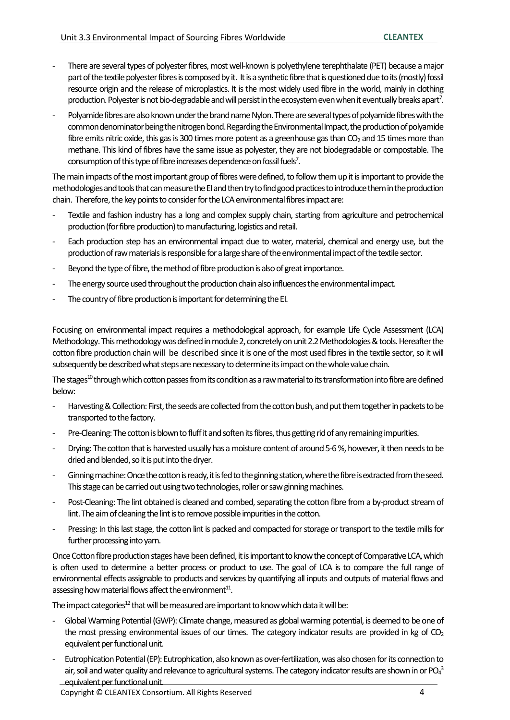- There are several types of polyester fibres, most well-known is polyethylene terephthalate (PET) because a major part of the textile polyester fibres is composed by it. It is a synthetic fibre that is questioned due to its (mostly) fossil resource origin and the release of microplastics. It is the most widely used fibre in the world, mainly in clothing production. Polyester is not bio-degradable and will persist in the ecosystem even when it eventually breaks apart<sup>7</sup>.
- Polyamide fibres are also known under the brand name Nylon. There are several types of polyamide fibres with the common denominator being the nitrogen bond. Regarding the Environmental Impact, the production of polyamide fibre emits nitric oxide, this gas is 300 times more potent as a greenhouse gas than  $CO<sub>2</sub>$  and 15 times more than methane. This kind of fibres have the same issue as polyester, they are not biodegradable or compostable. The consumption of this type of fibre increases dependence on fossil fuels 7 .

The main impacts of the most important group of fibres were defined, to follow them up it is important to provide the methodologies and tools that can measure the EI and then try to find good practices to introduce them in the production chain. Therefore, the key points to consider for the LCA environmental fibres impact are:

- Textile and fashion industry has a long and complex supply chain, starting from agriculture and petrochemical production (for fibre production) to manufacturing, logistics and retail.
- Each production step has an environmental impact due to water, material, chemical and energy use, but the production of raw materials is responsible for a large share of the environmental impact of the textile sector.
- Beyond the type of fibre, the method of fibre production is also of great importance.
- The energy source used throughout the production chain also influences the environmental impact.
- The country of fibre production is important for determining the EI.

Focusing on environmental impact requires a methodological approach, for example Life Cycle Assessment (LCA) Methodology. This methodology was defined in module 2, concretely on unit 2.2 Methodologies & tools. Hereafter the cotton fibre production chain will be described since it is one of the most used fibres in the textile sector, so it will subsequently be described what steps are necessary to determine its impact on the whole value chain.

The stages<sup>10</sup> through which cotton passes from its condition as a raw material to its transformation into fibre are defined below:

- Harvesting & Collection: First, the seeds are collected from the cotton bush, and put them together in packets to be transported to the factory.
- Pre-Cleaning: The cotton is blown to fluff it and soften its fibres, thus getting rid of any remaining impurities.
- Drying: The cotton that is harvested usually has a moisture content of around 5-6 %, however, it then needs to be dried and blended, so it is put into the dryer.
- Ginning machine: Once the cotton is ready, it is fed to the ginning station, where the fibre is extracted from the seed. This stage can be carried out using two technologies, roller or saw ginning machines.
- Post-Cleaning: The lint obtained is cleaned and combed, separating the cotton fibre from a by-product stream of lint. The aim of cleaning the lint is to remove possible impurities in the cotton.
- Pressing: In this last stage, the cotton lint is packed and compacted for storage or transport to the textile mills for further processing into yarn.

Once Cotton fibre production stages have beendefined, it is important to know the concept of Comparative LCA,which is often used to determine a better process or product to use. The goal of LCA is to compare the full range of environmental effects assignable to products and services by quantifying all inputs and outputs of material flows and assessing how material flows affect the environment $^{11}$ .

The impact categories<sup>12</sup> that will be measured are important to know which data it will be:

- Global Warming Potential (GWP): Climate change, measured as global warming potential, is deemed to be one of the most pressing environmental issues of our times. The category indicator results are provided in kg of  $CO<sub>2</sub>$ equivalent per functional unit.
- Eutrophication Potential (EP): Eutrophication, also known as over-fertilization, was also chosen for its connection to air, soil and water quality and relevance to agricultural systems. The category indicator results are shown in or PO $_4^3$ equivalent per functional unit.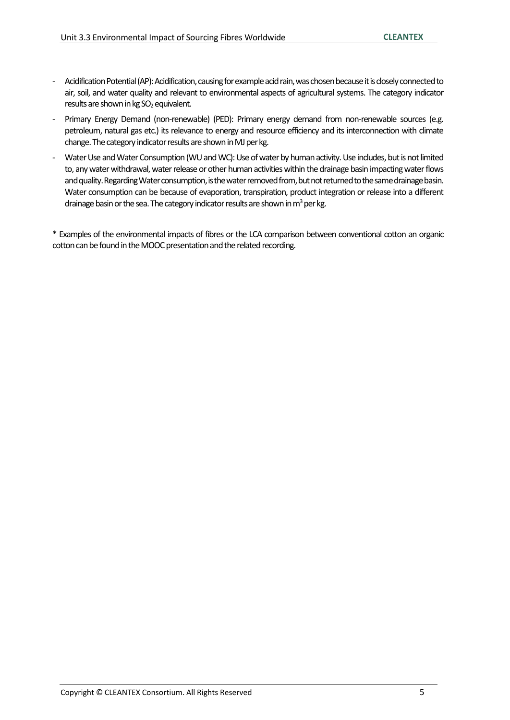- Acidification Potential (AP): Acidification, causing for example acid rain, was chosen because it is closely connected to air, soil, and water quality and relevant to environmental aspects of agricultural systems. The category indicator results are shown in kg SO<sub>2</sub> equivalent.
- Primary Energy Demand (non-renewable) (PED): Primary energy demand from non-renewable sources (e.g. petroleum, natural gas etc.) its relevance to energy and resource efficiency and its interconnection with climate change. The category indicator results are shown in MJ per kg.
- Water Use and Water Consumption (WU and WC): Use of water by human activity.Use includes, but is not limited to, any water withdrawal, water release or other human activities within the drainage basin impacting water flows and quality. Regarding Water consumption, is the water removed from, but not returned to the same drainage basin. Water consumption can be because of evaporation, transpiration, product integration or release into a different drainage basin or the sea. The category indicator results are shown in  $m^3$  per kg.

\* Examples of the environmental impacts of fibres or the LCA comparison between conventional cotton an organic cotton can be found in the MOOC presentation and the related recording.